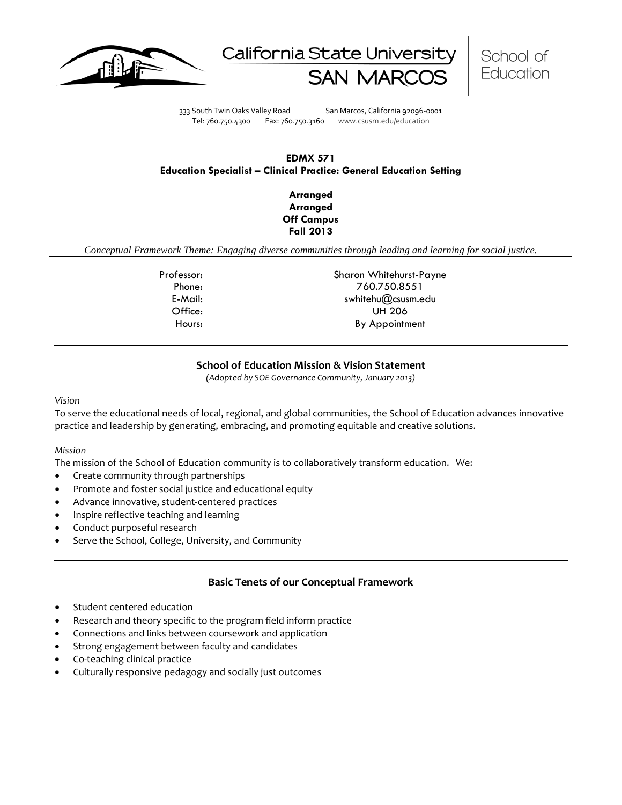





333 South Twin Oaks Valley Road San Marcos, California 92096-0001 Tel: 760.750.4300 Fax: 760.750.3160 www.csusm.edu/education

### **EDMX 571 Education Specialist – Clinical Practice: General Education Setting**

**Arranged Arranged Off Campus Fall 2013** 

*Conceptual Framework Theme: Engaging diverse communities through leading and learning for social justice.*

Professor: Sharon Whitehurst-Payne Phone: 760.750.8551 E-Mail: swhitehu@csusm.edu Office: UH 206 Hours: By Appointment

### **School of Education Mission & Vision Statement**

*(Adopted by SOE Governance Community, January 2013)*

#### *Vision*

To serve the educational needs of local, regional, and global communities, the School of Education advances innovative practice and leadership by generating, embracing, and promoting equitable and creative solutions.

#### *Mission*

The mission of the School of Education community is to collaboratively transform education. We:

- Create community through partnerships
- Promote and foster social justice and educational equity
- Advance innovative, student-centered practices
- Inspire reflective teaching and learning
- Conduct purposeful research
- Serve the School, College, University, and Community

#### **Basic Tenets of our Conceptual Framework**

- Student centered education
- Research and theory specific to the program field inform practice
- Connections and links between coursework and application
- Strong engagement between faculty and candidates
- Co-teaching clinical practice
- Culturally responsive pedagogy and socially just outcomes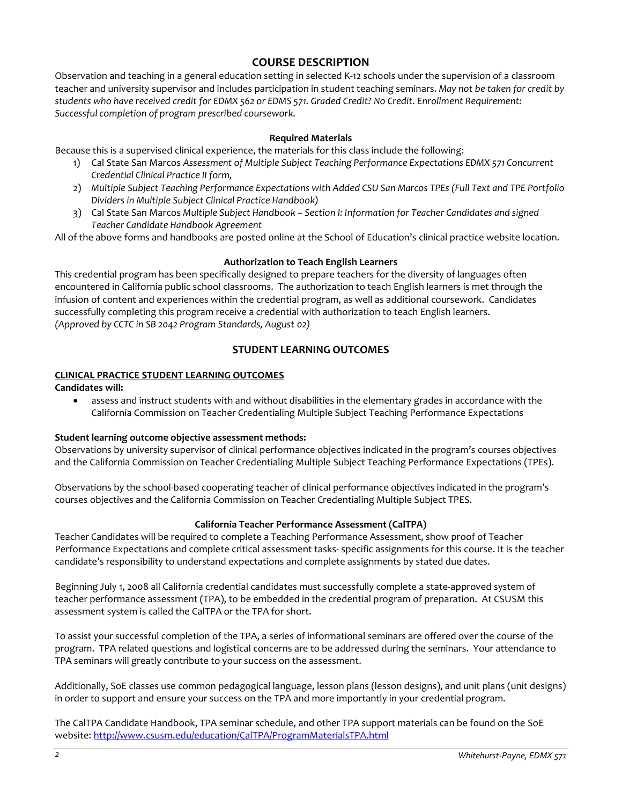# **COURSE DESCRIPTION**

Observation and teaching in a general education setting in selected K-12 schools under the supervision of a classroom teacher and university supervisor and includes participation in student teaching seminars. *May not be taken for credit by students who have received credit for EDMX 562 or EDMS 571. Graded Credit? No Credit. Enrollment Requirement: Successful completion of program prescribed coursework.*

#### **Required Materials**

Because this is a supervised clinical experience, the materials for this class include the following:

- 1) Cal State San Marcos *Assessment of Multiple Subject Teaching Performance Expectations EDMX 571 Concurrent Credential Clinical Practice II form,*
- 2) *Multiple Subject Teaching Performance Expectations with Added CSU San Marcos TPEs (Full Text and TPE Portfolio Dividers in Multiple Subject Clinical Practice Handbook)*
- 3) Cal State San Marcos *Multiple Subject Handbook – Section I: Information for Teacher Candidates and signed Teacher Candidate Handbook Agreement*

All of the above forms and handbooks are posted online at the School of Education's clinical practice website location.

#### **Authorization to Teach English Learners**

This credential program has been specifically designed to prepare teachers for the diversity of languages often encountered in California public school classrooms. The authorization to teach English learners is met through the infusion of content and experiences within the credential program, as well as additional coursework. Candidates successfully completing this program receive a credential with authorization to teach English learners. *(Approved by CCTC in SB 2042 Program Standards, August 02)*

### **STUDENT LEARNING OUTCOMES**

#### **CLINICAL PRACTICE STUDENT LEARNING OUTCOMES**

#### **Candidates will:**

• assess and instruct students with and without disabilities in the elementary grades in accordance with the California Commission on Teacher Credentialing Multiple Subject Teaching Performance Expectations

### **Student learning outcome objective assessment methods:**

Observations by university supervisor of clinical performance objectives indicated in the program's courses objectives and the California Commission on Teacher Credentialing Multiple Subject Teaching Performance Expectations (TPEs).

Observations by the school-based cooperating teacher of clinical performance objectives indicated in the program's courses objectives and the California Commission on Teacher Credentialing Multiple Subject TPES.

#### **California Teacher Performance Assessment (CalTPA)**

Teacher Candidates will be required to complete a Teaching Performance Assessment, show proof of Teacher Performance Expectations and complete critical assessment tasks- specific assignments for this course. It is the teacher candidate's responsibility to understand expectations and complete assignments by stated due dates.

Beginning July 1, 2008 all California credential candidates must successfully complete a state-approved system of teacher performance assessment (TPA), to be embedded in the credential program of preparation. At CSUSM this assessment system is called the CalTPA or the TPA for short.

To assist your successful completion of the TPA, a series of informational seminars are offered over the course of the program. TPA related questions and logistical concerns are to be addressed during the seminars. Your attendance to TPA seminars will greatly contribute to your success on the assessment.

Additionally, SoE classes use common pedagogical language, lesson plans (lesson designs), and unit plans (unit designs) in order to support and ensure your success on the TPA and more importantly in your credential program.

The CalTPA Candidate Handbook, TPA seminar schedule, and other TPA support materials can be found on the SoE website: <http://www.csusm.edu/education/CalTPA/ProgramMaterialsTPA.html>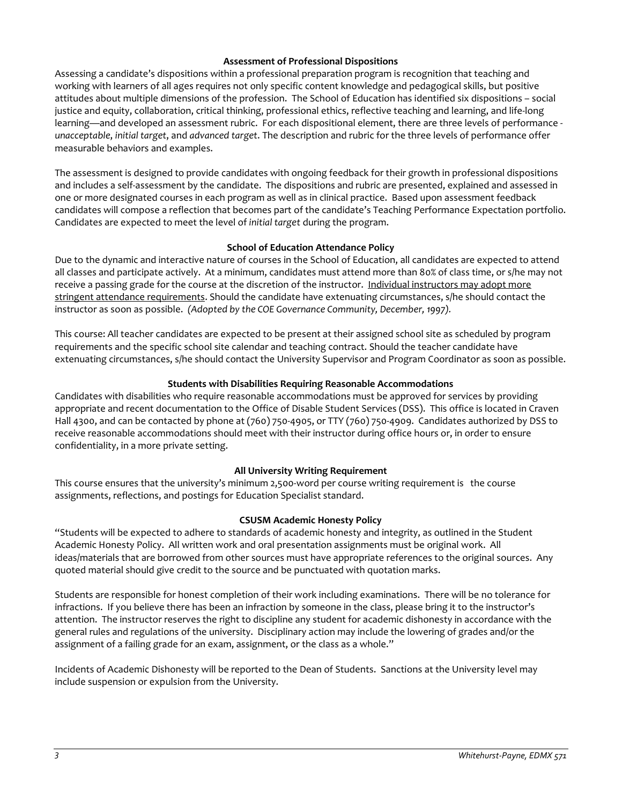#### **Assessment of Professional Dispositions**

Assessing a candidate's dispositions within a professional preparation program is recognition that teaching and working with learners of all ages requires not only specific content knowledge and pedagogical skills, but positive attitudes about multiple dimensions of the profession. The School of Education has identified six dispositions – social justice and equity, collaboration, critical thinking, professional ethics, reflective teaching and learning, and life-long learning—and developed an assessment rubric. For each dispositional element, there are three levels of performance *unacceptable*, *initial target*, and *advanced target*. The description and rubric for the three levels of performance offer measurable behaviors and examples.

The assessment is designed to provide candidates with ongoing feedback for their growth in professional dispositions and includes a self-assessment by the candidate. The dispositions and rubric are presented, explained and assessed in one or more designated courses in each program as well as in clinical practice. Based upon assessment feedback candidates will compose a reflection that becomes part of the candidate's Teaching Performance Expectation portfolio. Candidates are expected to meet the level of *initial target* during the program.

#### **School of Education Attendance Policy**

Due to the dynamic and interactive nature of courses in the School of Education, all candidates are expected to attend all classes and participate actively. At a minimum, candidates must attend more than 80% of class time, or s/he may not receive a passing grade for the course at the discretion of the instructor. Individual instructors may adopt more stringent attendance requirements. Should the candidate have extenuating circumstances, s/he should contact the instructor as soon as possible. *(Adopted by the COE Governance Community, December, 1997).*

This course: All teacher candidates are expected to be present at their assigned school site as scheduled by program requirements and the specific school site calendar and teaching contract. Should the teacher candidate have extenuating circumstances, s/he should contact the University Supervisor and Program Coordinator as soon as possible.

### **Students with Disabilities Requiring Reasonable Accommodations**

Candidates with disabilities who require reasonable accommodations must be approved for services by providing appropriate and recent documentation to the Office of Disable Student Services (DSS). This office is located in Craven Hall 4300, and can be contacted by phone at (760) 750-4905, or TTY (760) 750-4909. Candidates authorized by DSS to receive reasonable accommodations should meet with their instructor during office hours or, in order to ensure confidentiality, in a more private setting.

### **All University Writing Requirement**

This course ensures that the university's minimum 2,500-word per course writing requirement is the course assignments, reflections, and postings for Education Specialist standard.

#### **CSUSM Academic Honesty Policy**

"Students will be expected to adhere to standards of academic honesty and integrity, as outlined in the Student Academic Honesty Policy. All written work and oral presentation assignments must be original work. All ideas/materials that are borrowed from other sources must have appropriate references to the original sources. Any quoted material should give credit to the source and be punctuated with quotation marks.

Students are responsible for honest completion of their work including examinations. There will be no tolerance for infractions. If you believe there has been an infraction by someone in the class, please bring it to the instructor's attention. The instructor reserves the right to discipline any student for academic dishonesty in accordance with the general rules and regulations of the university. Disciplinary action may include the lowering of grades and/or the assignment of a failing grade for an exam, assignment, or the class as a whole."

Incidents of Academic Dishonesty will be reported to the Dean of Students. Sanctions at the University level may include suspension or expulsion from the University.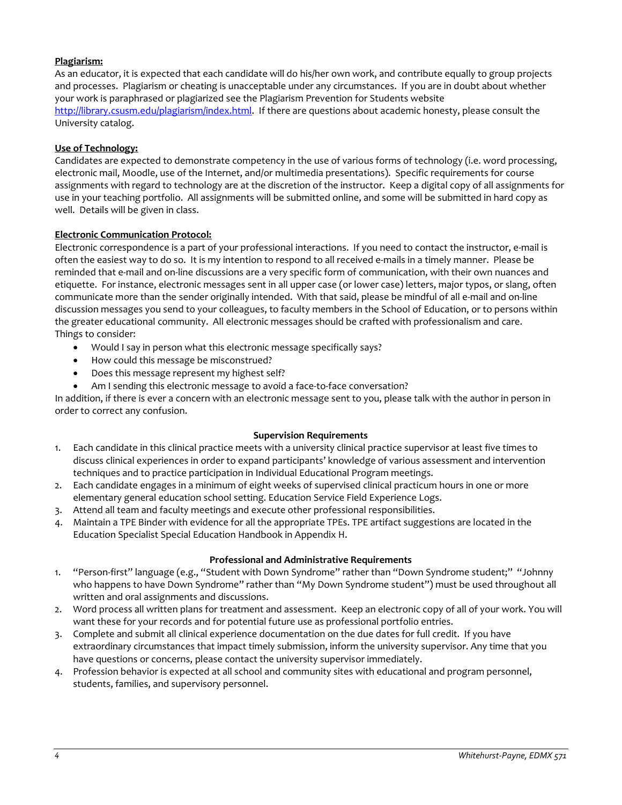### **Plagiarism:**

As an educator, it is expected that each candidate will do his/her own work, and contribute equally to group projects and processes. Plagiarism or cheating is unacceptable under any circumstances. If you are in doubt about whether your work is paraphrased or plagiarized see the Plagiarism Prevention for Students website [http://library.csusm.edu/plagiarism/index.html.](http://library.csusm.edu/plagiarism/index.html) If there are questions about academic honesty, please consult the University catalog.

### **Use of Technology:**

Candidates are expected to demonstrate competency in the use of various forms of technology (i.e. word processing, electronic mail, Moodle, use of the Internet, and/or multimedia presentations). Specific requirements for course assignments with regard to technology are at the discretion of the instructor. Keep a digital copy of all assignments for use in your teaching portfolio. All assignments will be submitted online, and some will be submitted in hard copy as well. Details will be given in class.

#### **Electronic Communication Protocol:**

Electronic correspondence is a part of your professional interactions. If you need to contact the instructor, e-mail is often the easiest way to do so. It is my intention to respond to all received e-mails in a timely manner. Please be reminded that e-mail and on-line discussions are a very specific form of communication, with their own nuances and etiquette. For instance, electronic messages sent in all upper case (or lower case) letters, major typos, or slang, often communicate more than the sender originally intended. With that said, please be mindful of all e-mail and on-line discussion messages you send to your colleagues, to faculty members in the School of Education, or to persons within the greater educational community. All electronic messages should be crafted with professionalism and care. Things to consider:

- Would I say in person what this electronic message specifically says?
- How could this message be misconstrued?
- Does this message represent my highest self?
- Am I sending this electronic message to avoid a face-to-face conversation?

In addition, if there is ever a concern with an electronic message sent to you, please talk with the author in person in order to correct any confusion.

#### **Supervision Requirements**

- 1. Each candidate in this clinical practice meets with a university clinical practice supervisor at least five times to discuss clinical experiences in order to expand participants' knowledge of various assessment and intervention techniques and to practice participation in Individual Educational Program meetings.
- 2. Each candidate engages in a minimum of eight weeks of supervised clinical practicum hours in one or more elementary general education school setting. Education Service Field Experience Logs.
- 3. Attend all team and faculty meetings and execute other professional responsibilities.
- 4. Maintain a TPE Binder with evidence for all the appropriate TPEs. TPE artifact suggestions are located in the Education Specialist Special Education Handbook in Appendix H.

#### **Professional and Administrative Requirements**

- 1. "Person-first" language (e.g., "Student with Down Syndrome" rather than "Down Syndrome student;" "Johnny who happens to have Down Syndrome" rather than "My Down Syndrome student") must be used throughout all written and oral assignments and discussions.
- 2. Word process all written plans for treatment and assessment. Keep an electronic copy of all of your work. You will want these for your records and for potential future use as professional portfolio entries.
- 3. Complete and submit all clinical experience documentation on the due dates for full credit. If you have extraordinary circumstances that impact timely submission, inform the university supervisor. Any time that you have questions or concerns, please contact the university supervisor immediately.
- 4. Profession behavior is expected at all school and community sites with educational and program personnel, students, families, and supervisory personnel.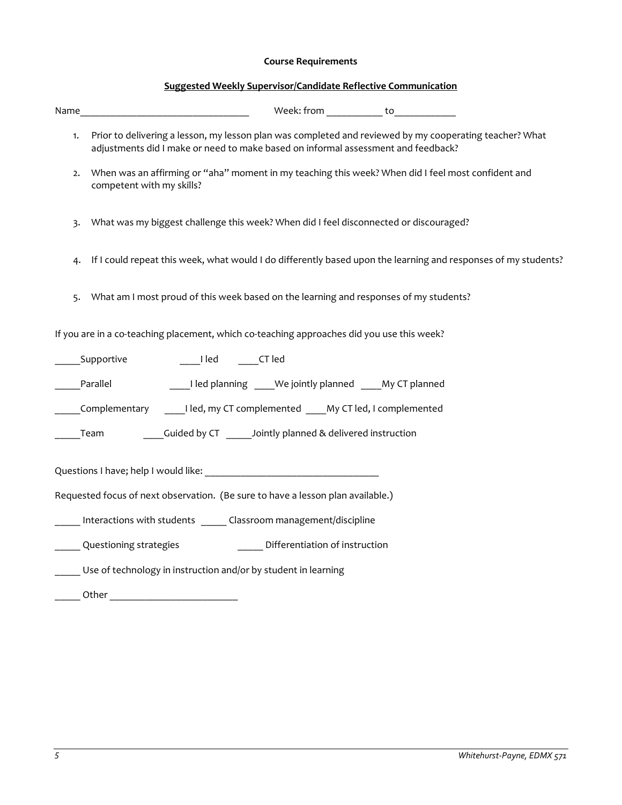# **Course Requirements**

# **Suggested Weekly Supervisor/Candidate Reflective Communication**

| Name | Week: from _____________ to _____________                                                                                                                                                    |
|------|----------------------------------------------------------------------------------------------------------------------------------------------------------------------------------------------|
| 1.   | Prior to delivering a lesson, my lesson plan was completed and reviewed by my cooperating teacher? What<br>adjustments did I make or need to make based on informal assessment and feedback? |
| 2.   | When was an affirming or "aha" moment in my teaching this week? When did I feel most confident and<br>competent with my skills?                                                              |
| 3.   | What was my biggest challenge this week? When did I feel disconnected or discouraged?                                                                                                        |
| 4.   | If I could repeat this week, what would I do differently based upon the learning and responses of my students?                                                                               |
| 5.   | What am I most proud of this week based on the learning and responses of my students?                                                                                                        |
|      | If you are in a co-teaching placement, which co-teaching approaches did you use this week?                                                                                                   |
|      | Supportive<br>I led CT led                                                                                                                                                                   |
|      | I led planning _____ We jointly planned _____ My CT planned<br>Parallel                                                                                                                      |
|      | Complementary Iled, my CT complemented My CT led, I complemented                                                                                                                             |
|      | Cuided by CT _______ Jointly planned & delivered instruction<br>Team                                                                                                                         |
|      |                                                                                                                                                                                              |
|      | Requested focus of next observation. (Be sure to have a lesson plan available.)                                                                                                              |
|      | Interactions with students Classroom management/discipline                                                                                                                                   |
|      | Questioning strategies<br>_____ Differentiation of instruction                                                                                                                               |
|      | Use of technology in instruction and/or by student in learning                                                                                                                               |
|      |                                                                                                                                                                                              |
|      |                                                                                                                                                                                              |